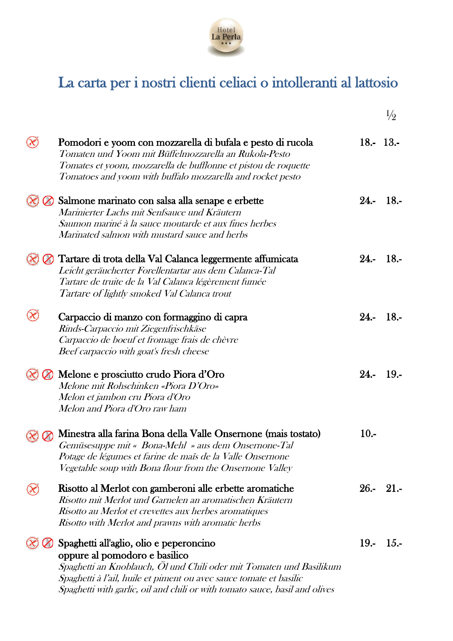

# La carta per i nostri clienti celiaci o intolleranti al lattosio

|                |                                                                                                                                                                                                                                                                                                      |         | $\frac{1}{2}$ |
|----------------|------------------------------------------------------------------------------------------------------------------------------------------------------------------------------------------------------------------------------------------------------------------------------------------------------|---------|---------------|
| $(\!\infty\!)$ | Pomodori e yoom con mozzarella di bufala e pesto di rucola<br>Tomaten und Yoom mit Büffelmozzarella an Rukola-Pesto<br>Tomates et yoom, mozzarella de bufflonne et pistou de roquette<br>Tomatoes and yoom with buffalo mozzarella and rocket pesto                                                  |         | $18 - 13$     |
|                | Salmone marinato con salsa alla senape e erbette<br>Marinierter Lachs mit Senfsauce und Kräutern<br>Saumon mariné à la sauce moutarde et aux fines herbes<br>Marinated salmon with mustard sauce and herbs                                                                                           |         | $24 - 18$     |
|                | Tartare di trota della Val Calanca leggermente affumicata<br>Leicht geräucherter Forellentartar aus dem Calanca-Tal<br>Tartare de truite de la Val Calanca légèrement fumée<br>Tartare of lightly smoked Val Calanca trout                                                                           | $24. -$ | $-18.5$       |
|                | Carpaccio di manzo con formaggino di capra<br>Rinds-Carpaccio mit Ziegenfrischkäse<br>Carpaccio de boeuf et fromage frais de chèvre<br>Beef carpaccio with goat's fresh cheese                                                                                                                       |         | $24 - 18$     |
|                | Melone e prosciutto crudo Piora d'Oro<br>Melone mit Rohschinken «Piora D'Oro»<br>Melon et jambon cru Piora d'Oro<br>Melon and Piora d'Oro raw ham                                                                                                                                                    |         | $24 - 19$     |
|                | Minestra alla farina Bona della Valle Onsernone (mais tostato)<br>Gemüsesuppe mit « Bona-Mehl » aus dem Onsernone-Tal<br>Potage de légumes et farine de mais de la Valle Onsernone<br>Vegetable soup with Bona flour from the Onsernone Valley                                                       | $10. -$ |               |
|                | Risotto al Merlot con gamberoni alle erbette aromatiche<br>Risotto mit Merlot und Garnelen an aromatischen Kräutern<br>Risotto au Merlot et crevettes aux herbes aromatiques<br>Risotto with Merlot and prawns with aromatic herbs                                                                   |         | $26 - 21 -$   |
|                | Spaghetti all'aglio, olio e peperoncino<br>oppure al pomodoro e basilico<br>Spaghetti an Knoblauch, Ol und Chili oder mit Tomaten und Basilikum<br>Spaghetti à l'ail, huile et piment ou avec sauce tomate et basilic<br>Spaghetti with garlic, oil and chili or with tomato sauce, basil and olives | $19. -$ | $1.5 -$       |